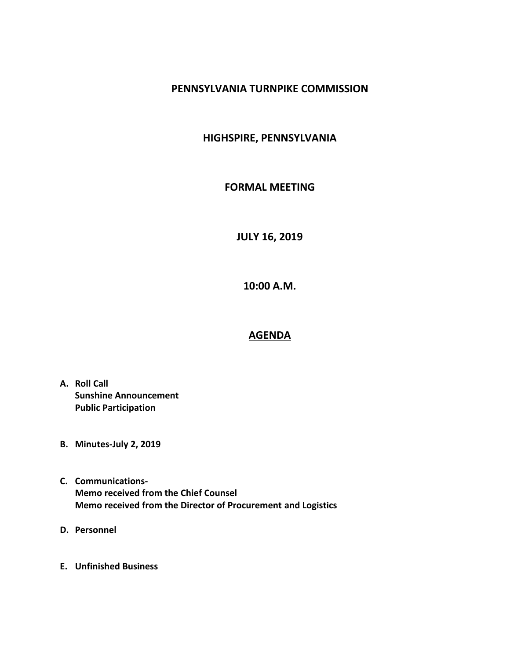## **PENNSYLVANIA TURNPIKE COMMISSION**

## **HIGHSPIRE, PENNSYLVANIA**

## **FORMAL MEETING**

**JULY 16, 2019**

**10:00 A.M.**

## **AGENDA**

- **A. Roll Call Sunshine Announcement Public Participation**
- **B. Minutes-July 2, 2019**
- **C. Communications-Memo received from the Chief Counsel Memo received from the Director of Procurement and Logistics**
- **D. Personnel**
- **E. Unfinished Business**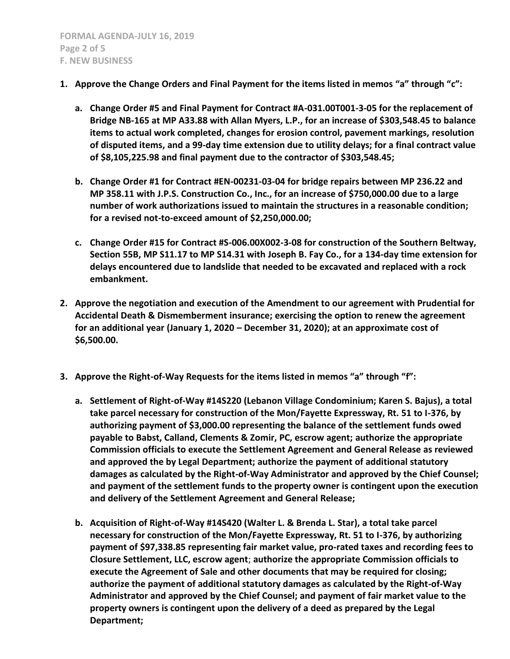- **1. Approve the Change Orders and Final Payment for the items listed in memos "a" through "c":**
	- **a. Change Order #5 and Final Payment for Contract #A-031.00T001-3-05 for the replacement of Bridge NB-165 at MP A33.88 with Allan Myers, L.P., for an increase of \$303,548.45 to balance items to actual work completed, changes for erosion control, pavement markings, resolution of disputed items, and a 99-day time extension due to utility delays; for a final contract value of \$8,105,225.98 and final payment due to the contractor of \$303,548.45;**
	- **b. Change Order #1 for Contract #EN-00231-03-04 for bridge repairs between MP 236.22 and MP 358.11 with J.P.S. Construction Co., Inc., for an increase of \$750,000.00 due to a large number of work authorizations issued to maintain the structures in a reasonable condition; for a revised not-to-exceed amount of \$2,250,000.00;**
	- **c. Change Order #15 for Contract #S-006.00X002-3-08 for construction of the Southern Beltway, Section 55B, MP S11.17 to MP S14.31 with Joseph B. Fay Co., for a 134-day time extension for delays encountered due to landslide that needed to be excavated and replaced with a rock embankment.**
- **2. Approve the negotiation and execution of the Amendment to our agreement with Prudential for Accidental Death & Dismemberment insurance; exercising the option to renew the agreement for an additional year (January 1, 2020 – December 31, 2020); at an approximate cost of \$6,500.00.**
- **3. Approve the Right-of-Way Requests for the items listed in memos "a" through "f":**
	- **a. Settlement of Right-of-Way #14S220 (Lebanon Village Condominium; Karen S. Bajus), a total take parcel necessary for construction of the Mon/Fayette Expressway, Rt. 51 to I-376, by authorizing payment of \$3,000.00 representing the balance of the settlement funds owed payable to Babst, Calland, Clements & Zomir, PC, escrow agent; authorize the appropriate Commission officials to execute the Settlement Agreement and General Release as reviewed and approved the by Legal Department; authorize the payment of additional statutory damages as calculated by the Right-of-Way Administrator and approved by the Chief Counsel; and payment of the settlement funds to the property owner is contingent upon the execution and delivery of the Settlement Agreement and General Release;**
	- **b. Acquisition of Right-of-Way #14S420 (Walter L. & Brenda L. Star), a total take parcel necessary for construction of the Mon/Fayette Expressway, Rt. 51 to I-376, by authorizing payment of \$97,338.85 representing fair market value, pro-rated taxes and recording fees to Closure Settlement, LLC, escrow agent**; **authorize the appropriate Commission officials to execute the Agreement of Sale and other documents that may be required for closing; authorize the payment of additional statutory damages as calculated by the Right-of-Way Administrator and approved by the Chief Counsel; and payment of fair market value to the property owners is contingent upon the delivery of a deed as prepared by the Legal Department;**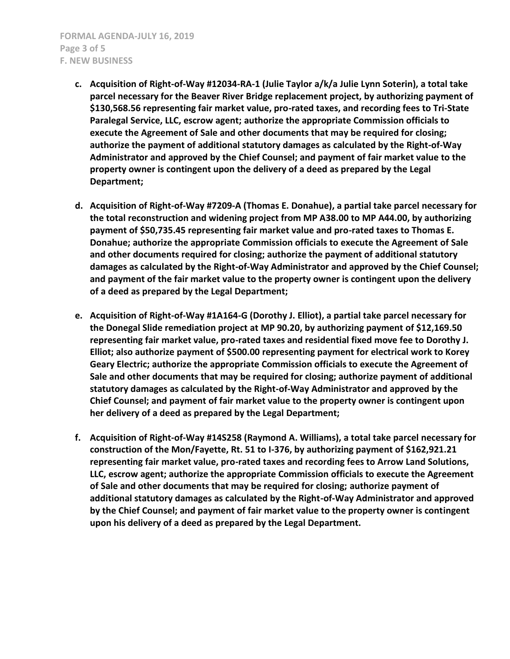- **c. Acquisition of Right-of-Way #12034-RA-1 (Julie Taylor a/k/a Julie Lynn Soterin), a total take parcel necessary for the Beaver River Bridge replacement project, by authorizing payment of \$130,568.56 representing fair market value, pro-rated taxes, and recording fees to Tri-State Paralegal Service, LLC, escrow agent; authorize the appropriate Commission officials to execute the Agreement of Sale and other documents that may be required for closing; authorize the payment of additional statutory damages as calculated by the Right-of-Way Administrator and approved by the Chief Counsel; and payment of fair market value to the property owner is contingent upon the delivery of a deed as prepared by the Legal Department;**
- **d. Acquisition of Right-of-Way #7209-A (Thomas E. Donahue), a partial take parcel necessary for the total reconstruction and widening project from MP A38.00 to MP A44.00, by authorizing payment of \$50,735.45 representing fair market value and pro-rated taxes to Thomas E. Donahue; authorize the appropriate Commission officials to execute the Agreement of Sale and other documents required for closing; authorize the payment of additional statutory damages as calculated by the Right-of-Way Administrator and approved by the Chief Counsel; and payment of the fair market value to the property owner is contingent upon the delivery of a deed as prepared by the Legal Department;**
- **e. Acquisition of Right-of-Way #1A164-G (Dorothy J. Elliot), a partial take parcel necessary for the Donegal Slide remediation project at MP 90.20, by authorizing payment of \$12,169.50 representing fair market value, pro-rated taxes and residential fixed move fee to Dorothy J. Elliot; also authorize payment of \$500.00 representing payment for electrical work to Korey Geary Electric; authorize the appropriate Commission officials to execute the Agreement of Sale and other documents that may be required for closing; authorize payment of additional statutory damages as calculated by the Right-of-Way Administrator and approved by the Chief Counsel; and payment of fair market value to the property owner is contingent upon her delivery of a deed as prepared by the Legal Department;**
- **f. Acquisition of Right-of-Way #14S258 (Raymond A. Williams), a total take parcel necessary for construction of the Mon/Fayette, Rt. 51 to I-376, by authorizing payment of \$162,921.21 representing fair market value, pro-rated taxes and recording fees to Arrow Land Solutions, LLC, escrow agent; authorize the appropriate Commission officials to execute the Agreement of Sale and other documents that may be required for closing; authorize payment of additional statutory damages as calculated by the Right-of-Way Administrator and approved by the Chief Counsel; and payment of fair market value to the property owner is contingent upon his delivery of a deed as prepared by the Legal Department.**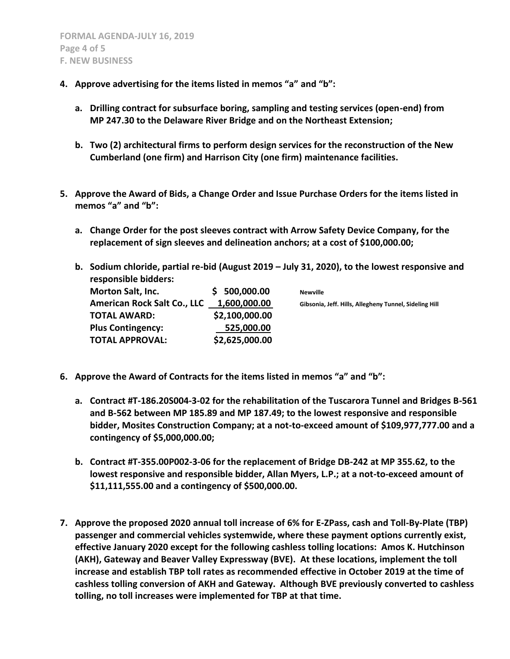- **4. Approve advertising for the items listed in memos "a" and "b":**
	- **a. Drilling contract for subsurface boring, sampling and testing services (open-end) from MP 247.30 to the Delaware River Bridge and on the Northeast Extension;**
	- **b. Two (2) architectural firms to perform design services for the reconstruction of the New Cumberland (one firm) and Harrison City (one firm) maintenance facilities.**
- **5. Approve the Award of Bids, a Change Order and Issue Purchase Orders for the items listed in memos "a" and "b":**
	- **a. Change Order for the post sleeves contract with Arrow Safety Device Company, for the replacement of sign sleeves and delineation anchors; at a cost of \$100,000.00;**
	- **b. Sodium chloride, partial re-bid (August 2019 – July 31, 2020), to the lowest responsive and responsible bidders:**

| <b>Morton Salt, Inc.</b>           | \$500,000.00   | <b>Newville</b>                                        |
|------------------------------------|----------------|--------------------------------------------------------|
| <b>American Rock Salt Co., LLC</b> | 1,600,000.00   | Gibsonia, Jeff. Hills, Allegheny Tunnel, Sideling Hill |
| <b>TOTAL AWARD:</b>                | \$2,100,000.00 |                                                        |
| <b>Plus Contingency:</b>           | 525,000.00     |                                                        |
| <b>TOTAL APPROVAL:</b>             | \$2,625,000.00 |                                                        |

- **6. Approve the Award of Contracts for the items listed in memos "a" and "b":**
	- **a. Contract #T-186.20S004-3-02 for the rehabilitation of the Tuscarora Tunnel and Bridges B-561 and B-562 between MP 185.89 and MP 187.49; to the lowest responsive and responsible bidder, Mosites Construction Company; at a not-to-exceed amount of \$109,977,777.00 and a contingency of \$5,000,000.00;**
	- **b. Contract #T-355.00P002-3-06 for the replacement of Bridge DB-242 at MP 355.62, to the lowest responsive and responsible bidder, Allan Myers, L.P.; at a not-to-exceed amount of \$11,111,555.00 and a contingency of \$500,000.00.**
- **7. Approve the proposed 2020 annual toll increase of 6% for E-ZPass, cash and Toll-By-Plate (TBP) passenger and commercial vehicles systemwide, where these payment options currently exist, effective January 2020 except for the following cashless tolling locations: Amos K. Hutchinson (AKH), Gateway and Beaver Valley Expressway (BVE). At these locations, implement the toll increase and establish TBP toll rates as recommended effective in October 2019 at the time of cashless tolling conversion of AKH and Gateway. Although BVE previously converted to cashless tolling, no toll increases were implemented for TBP at that time.**